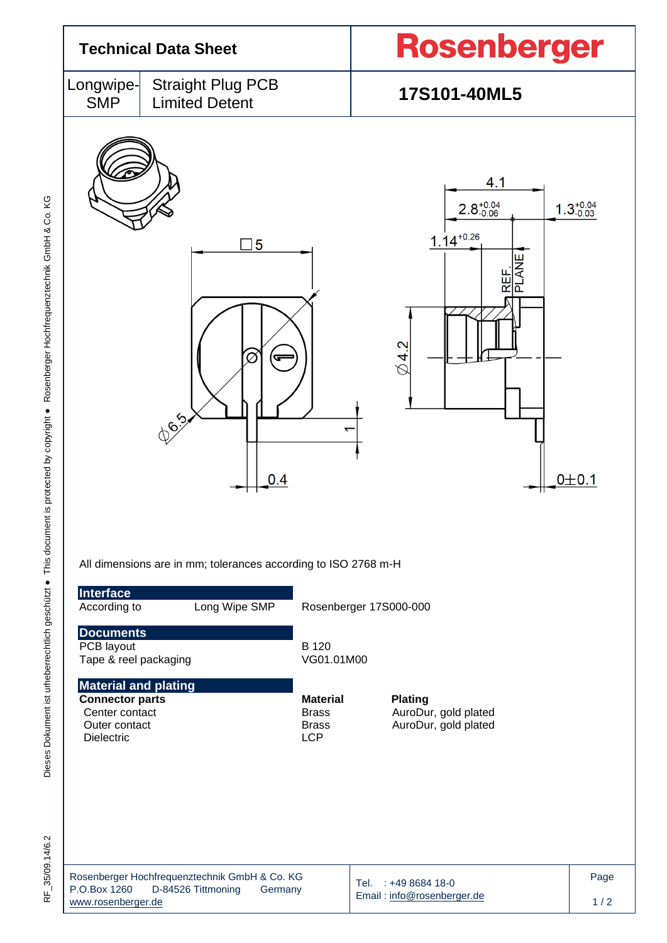| <b>Technical Data Sheet</b>                                                                                   |                                                                                                                  |                                                               | <b>Rosenberger</b>                                                                                                              |  |  |
|---------------------------------------------------------------------------------------------------------------|------------------------------------------------------------------------------------------------------------------|---------------------------------------------------------------|---------------------------------------------------------------------------------------------------------------------------------|--|--|
| Longwipe-<br><b>SMP</b>                                                                                       | <b>Straight Plug PCB</b><br><b>Limited Detent</b>                                                                |                                                               | 17S101-40ML5                                                                                                                    |  |  |
|                                                                                                               | 5<br>$\varnothing$<br>ᢎ<br><b>DOI</b> S<br>0.4<br>All dimensions are in mm; tolerances according to ISO 2768 m-H | ᡪ                                                             | 4.1<br>$2.8^{+0.04}_{-0.06}$<br>$1.3^{+0.04}_{-0.03}$<br>$1.14^{+0.26}$<br><b>PLANE</b><br>REF.<br>$\emptyset$ 4.2<br>$0 + 0.1$ |  |  |
| Interface<br>According to                                                                                     | Long Wipe SMP                                                                                                    |                                                               | Rosenberger 17S000-000                                                                                                          |  |  |
| <b>Documents</b><br>PCB layout<br>Tape & reel packaging                                                       |                                                                                                                  | B 120<br>VG01.01M00                                           |                                                                                                                                 |  |  |
| <b>Material and plating</b><br><b>Connector parts</b><br>Center contact<br>Outer contact<br><b>Dielectric</b> |                                                                                                                  | <b>Material</b><br><b>Brass</b><br><b>Brass</b><br><b>LCP</b> | <b>Plating</b><br>AuroDur, gold plated<br>AuroDur, gold plated                                                                  |  |  |
| P.O.Box 1260<br>www.rosenberger.de                                                                            | Rosenberger Hochfrequenztechnik GmbH & Co. KG<br>D-84526 Tittmoning<br>Germany                                   |                                                               | Page<br>Tel. : +49 8684 18-0<br>Email: info@rosenberger.de<br>1/2                                                               |  |  |

RF\_35/09.14/6.2